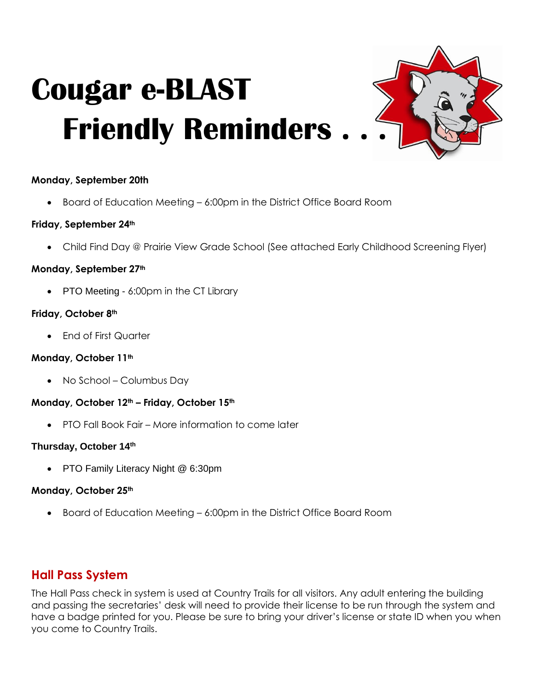

#### **Monday, September 20th**

• Board of Education Meeting – 6:00pm in the District Office Board Room

#### **Friday, September 24th**

• Child Find Day @ Prairie View Grade School (See attached Early Childhood Screening Flyer)

#### **Monday, September 27th**

• PTO Meeting - 6:00pm in the CT Library

#### **Friday, October 8th**

• End of First Quarter

#### **Monday, October 11th**

• No School – Columbus Day

#### **Monday, October 12th – Friday, October 15th**

• PTO Fall Book Fair – More information to come later

#### **Thursday, October 14th**

• PTO Family Literacy Night @ 6:30pm

#### **Monday, October 25th**

• Board of Education Meeting – 6:00pm in the District Office Board Room

## **Hall Pass System**

The Hall Pass check in system is used at Country Trails for all visitors. Any adult entering the building and passing the secretaries' desk will need to provide their license to be run through the system and have a badge printed for you. Please be sure to bring your driver's license or state ID when you when you come to Country Trails.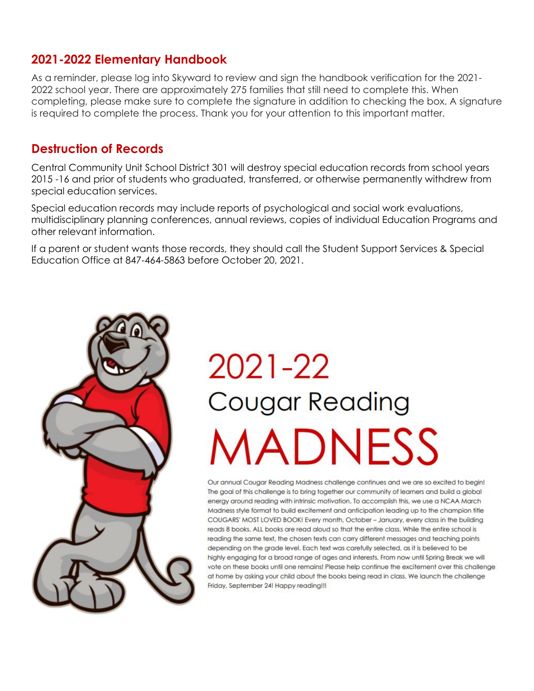### **2021-2022 Elementary Handbook**

As a reminder, please log into Skyward to review and sign the handbook verification for the 2021- 2022 school year. There are approximately 275 families that still need to complete this. When completing, please make sure to complete the signature in addition to checking the box. A signature is required to complete the process. Thank you for your attention to this important matter.

### **Destruction of Records**

Central Community Unit School District 301 will destroy special education records from school years 2015 -16 and prior of students who graduated, transferred, or otherwise permanently withdrew from special education services.

Special education records may include reports of psychological and social work evaluations, multidisciplinary planning conferences, annual reviews, copies of individual Education Programs and other relevant information.

If a parent or student wants those records, they should call the Student Support Services & Special Education Office at 847-464-5863 before October 20, 2021.



# 2021-22 **Cougar Reading** MADNESS

Our annual Cougar Reading Madness challenge continues and we are so excited to begin! The goal of this challenge is to bring together our community of learners and build a global energy around reading with intrinsic motivation. To accomplish this, we use a NCAA March Madness style format to build excitement and anticipation leading up to the champion title COUGARS' MOST LOVED BOOK! Every month, October - January, every class in the building reads 8 books. ALL books are read aloud so that the entire class. While the entire school is reading the same text, the chosen texts can carry different messages and teaching points depending on the grade level. Each text was carefully selected, as it is believed to be highly engaging for a broad range of ages and interests. From now until Spring Break we will vote on these books until one remains! Please help continue the excitement over this challenge at home by asking your child about the books being read in class. We launch the challenge Friday, September 24! Happy reading!!!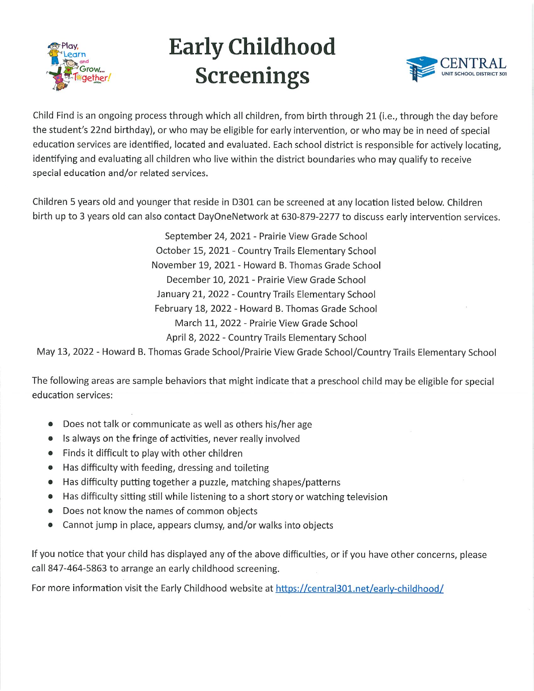

# **Early Childhood Screenings**



Child Find is an ongoing process through which all children, from birth through 21 (i.e., through the day before the student's 22nd birthday), or who may be eligible for early intervention, or who may be in need of special education services are identified, located and evaluated. Each school district is responsible for actively locating, identifying and evaluating all children who live within the district boundaries who may qualify to receive special education and/or related services.

Children 5 years old and younger that reside in D301 can be screened at any location listed below. Children birth up to 3 years old can also contact DayOneNetwork at 630-879-2277 to discuss early intervention services.

> September 24, 2021 - Prairie View Grade School October 15, 2021 - Country Trails Elementary School November 19, 2021 - Howard B. Thomas Grade School December 10, 2021 - Prairie View Grade School January 21, 2022 - Country Trails Elementary School February 18, 2022 - Howard B. Thomas Grade School March 11, 2022 - Prairie View Grade School April 8, 2022 - Country Trails Elementary School

May 13, 2022 - Howard B. Thomas Grade School/Prairie View Grade School/Country Trails Elementary School

The following areas are sample behaviors that might indicate that a preschool child may be eligible for special education services:

- Does not talk or communicate as well as others his/her age  $\bullet$
- Is always on the fringe of activities, never really involved  $\bullet$
- Finds it difficult to play with other children
- Has difficulty with feeding, dressing and toileting  $\bullet$
- Has difficulty putting together a puzzle, matching shapes/patterns  $\bullet$
- Has difficulty sitting still while listening to a short story or watching television
- Does not know the names of common objects  $\bullet$
- Cannot jump in place, appears clumsy, and/or walks into objects  $\bullet$

If you notice that your child has displayed any of the above difficulties, or if you have other concerns, please call 847-464-5863 to arrange an early childhood screening.

For more information visit the Early Childhood website at https://central301.net/early-childhood/